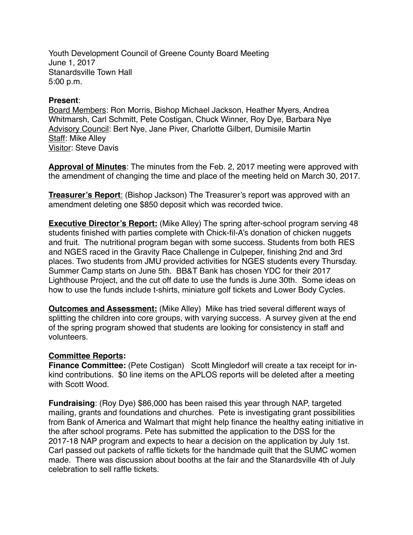Youth Development Council of Greene County Board Meeting June 1, 2017 Stanardsville Town Hall 5:00 p.m.

## **Present**:

Board Members: Ron Morris, Bishop Michael Jackson, Heather Myers, Andrea Whitmarsh, Carl Schmitt, Pete Costigan, Chuck Winner, Roy Dye, Barbara Nye Advisory Council: Bert Nye, Jane Piver, Charlotte Gilbert, Dumisile Martin Staff: Mike Alley Visitor: Steve Davis

**Approval of Minutes**: The minutes from the Feb. 2, 2017 meeting were approved with the amendment of changing the time and place of the meeting held on March 30, 2017.

**Treasurer's Report**: (Bishop Jackson) The Treasurer's report was approved with an amendment deleting one \$850 deposit which was recorded twice.

**Executive Director's Report:** (Mike Alley) The spring after-school program serving 48 students finished with parties complete with Chick-fil-A's donation of chicken nuggets and fruit. The nutritional program began with some success. Students from both RES and NGES raced in the Gravity Race Challenge in Culpeper, finishing 2nd and 3rd places. Two students from JMU provided activities for NGES students every Thursday. Summer Camp starts on June 5th. BB&T Bank has chosen YDC for their 2017 Lighthouse Project, and the cut off date to use the funds is June 30th. Some ideas on how to use the funds include t-shirts, miniature golf tickets and Lower Body Cycles.

**Outcomes and Assessment:** (Mike Alley) Mike has tried several different ways of splitting the children into core groups, with varying success. A survey given at the end of the spring program showed that students are looking for consistency in staff and volunteers.

## **Committee Reports:**

**Finance Committee:** (Pete Costigan) Scott Mingledorf will create a tax receipt for inkind contributions. \$0 line items on the APLOS reports will be deleted after a meeting with Scott Wood.

**Fundraising**: (Roy Dye) \$86,000 has been raised this year through NAP, targeted mailing, grants and foundations and churches. Pete is investigating grant possibilities from Bank of America and Walmart that might help finance the healthy eating initiative in the after school programs. Pete has submitted the application to the DSS for the 2017-18 NAP program and expects to hear a decision on the application by July 1st. Carl passed out packets of raffle tickets for the handmade quilt that the SUMC women made. There was discussion about booths at the fair and the Stanardsville 4th of July celebration to sell raffle tickets.